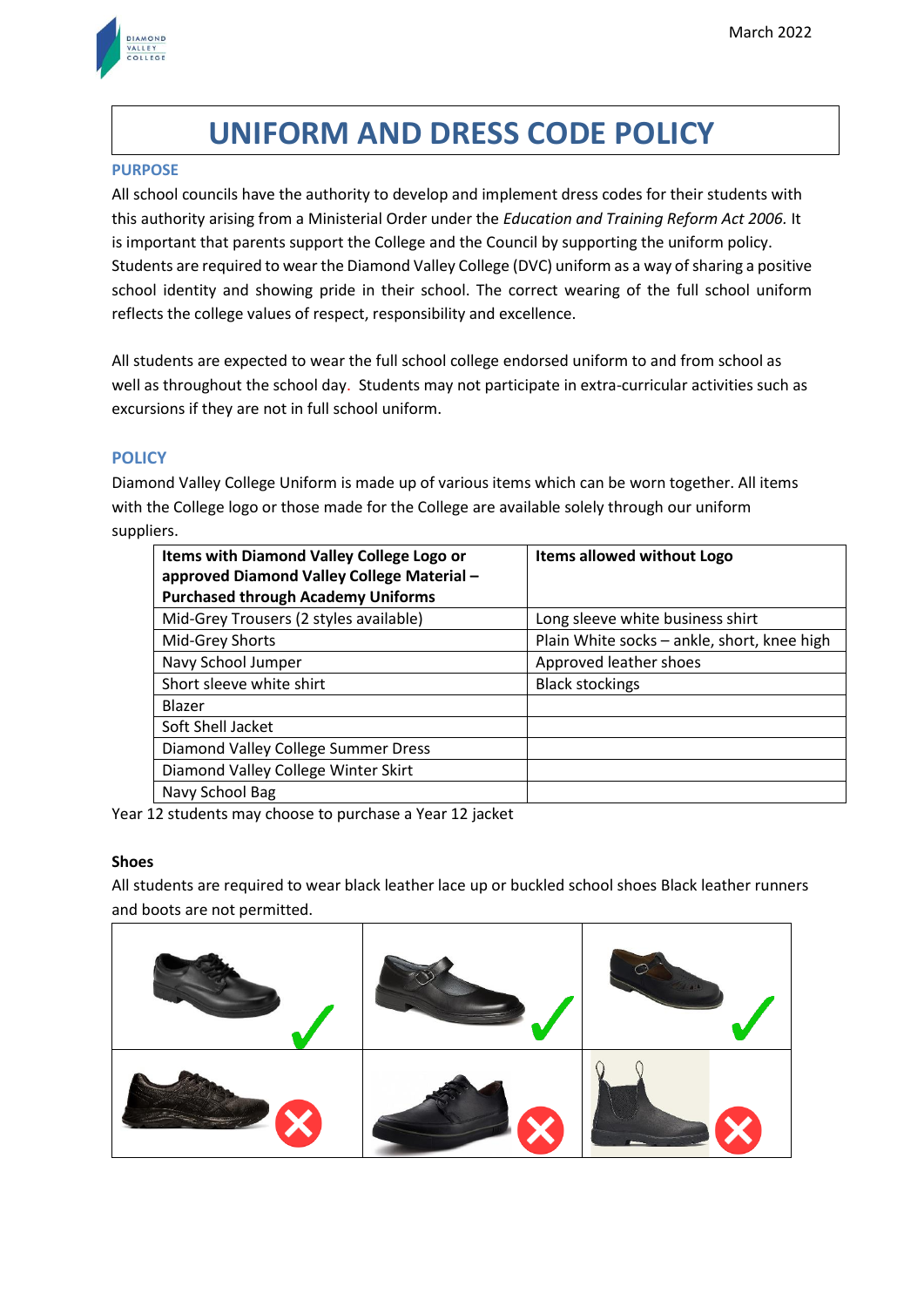

# **UNIFORM AND DRESS CODE POLICY**

#### **PURPOSE**

All school councils have the authority to develop and implement dress codes for their students with this authority arising from a Ministerial Order under the *Education and Training Reform Act 2006.* It is important that parents support the College and the Council by supporting the uniform policy. Students are required to wear the Diamond Valley College (DVC) uniform as a way of sharing a positive school identity and showing pride in their school. The correct wearing of the full school uniform reflects the college values of respect, responsibility and excellence.

All students are expected to wear the full school college endorsed uniform to and from school as well as throughout the school day. Students may not participate in extra-curricular activities such as excursions if they are not in full school uniform.

# **POLICY**

Diamond Valley College Uniform is made up of various items which can be worn together. All items with the College logo or those made for the College are available solely through our uniform suppliers.

| Items with Diamond Valley College Logo or  | Items allowed without Logo                  |
|--------------------------------------------|---------------------------------------------|
| approved Diamond Valley College Material - |                                             |
| <b>Purchased through Academy Uniforms</b>  |                                             |
| Mid-Grey Trousers (2 styles available)     | Long sleeve white business shirt            |
| Mid-Grey Shorts                            | Plain White socks - ankle, short, knee high |
| Navy School Jumper                         | Approved leather shoes                      |
| Short sleeve white shirt                   | <b>Black stockings</b>                      |
| Blazer                                     |                                             |
| Soft Shell Jacket                          |                                             |
| Diamond Valley College Summer Dress        |                                             |
| Diamond Valley College Winter Skirt        |                                             |
| Navy School Bag                            |                                             |

Year 12 students may choose to purchase a Year 12 jacket

# **Shoes**

All students are required to wear black leather lace up or buckled school shoes Black leather runners and boots are not permitted.

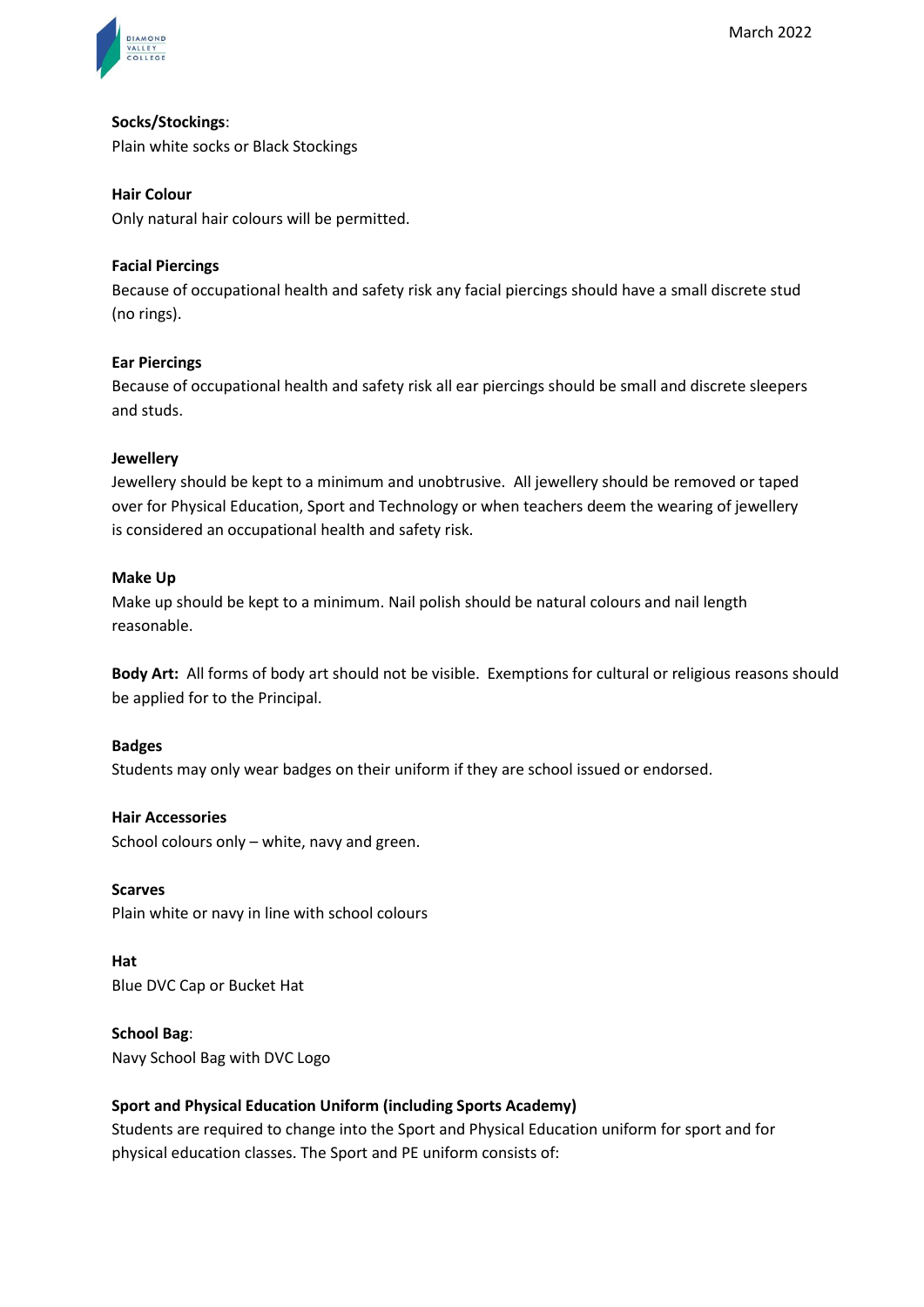

# **Socks/Stockings**:

Plain white socks or Black Stockings

#### **Hair Colour**

Only natural hair colours will be permitted.

#### **Facial Piercings**

Because of occupational health and safety risk any facial piercings should have a small discrete stud (no rings).

#### **Ear Piercings**

Because of occupational health and safety risk all ear piercings should be small and discrete sleepers and studs.

#### **Jewellery**

Jewellery should be kept to a minimum and unobtrusive. All jewellery should be removed or taped over for Physical Education, Sport and Technology or when teachers deem the wearing of jewellery is considered an occupational health and safety risk.

#### **Make Up**

Make up should be kept to a minimum. Nail polish should be natural colours and nail length reasonable.

**Body Art:** All forms of body art should not be visible. Exemptions for cultural or religious reasons should be applied for to the Principal.

#### **Badges**

Students may only wear badges on their uniform if they are school issued or endorsed.

#### **Hair Accessories**

School colours only – white, navy and green.

#### **Scarves**

Plain white or navy in line with school colours

**Hat**  Blue DVC Cap or Bucket Hat

#### **School Bag**:

Navy School Bag with DVC Logo

# **Sport and Physical Education Uniform (including Sports Academy)**

Students are required to change into the Sport and Physical Education uniform for sport and for physical education classes. The Sport and PE uniform consists of: